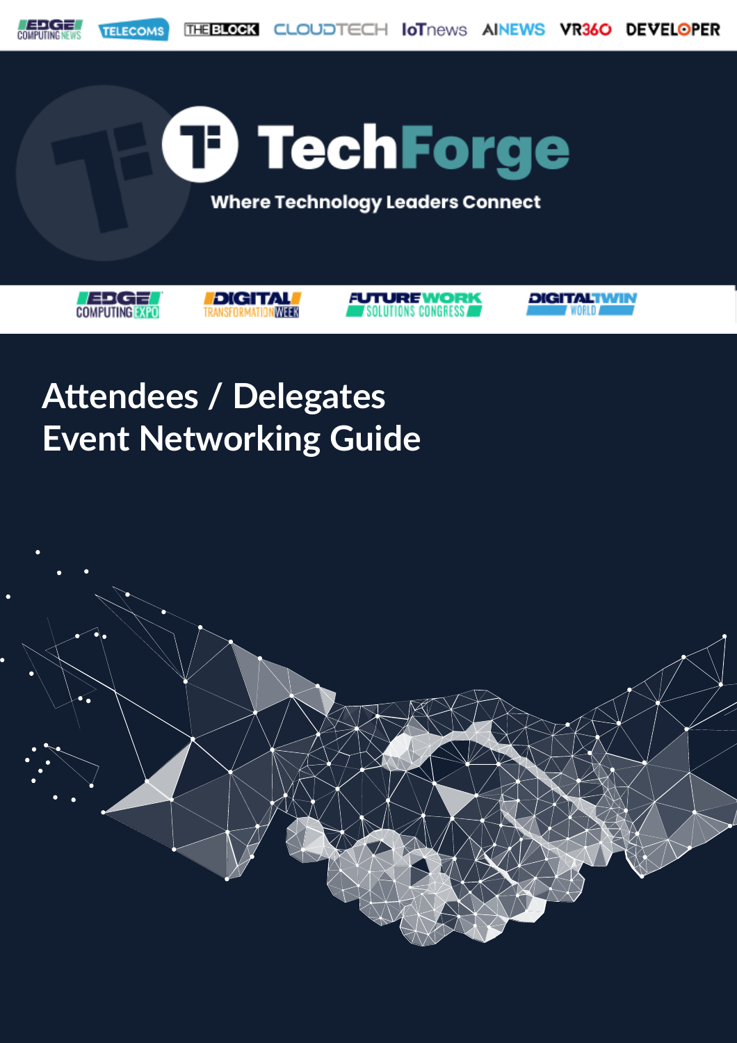

### **Attendees / Delegates Event Networking Guide**

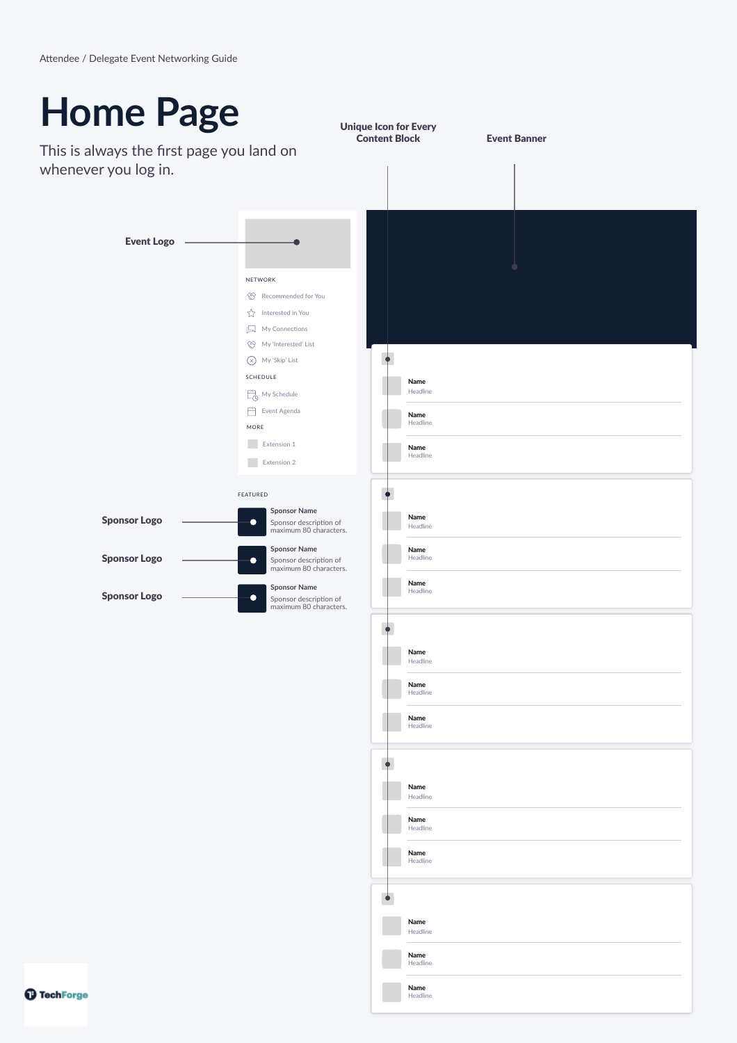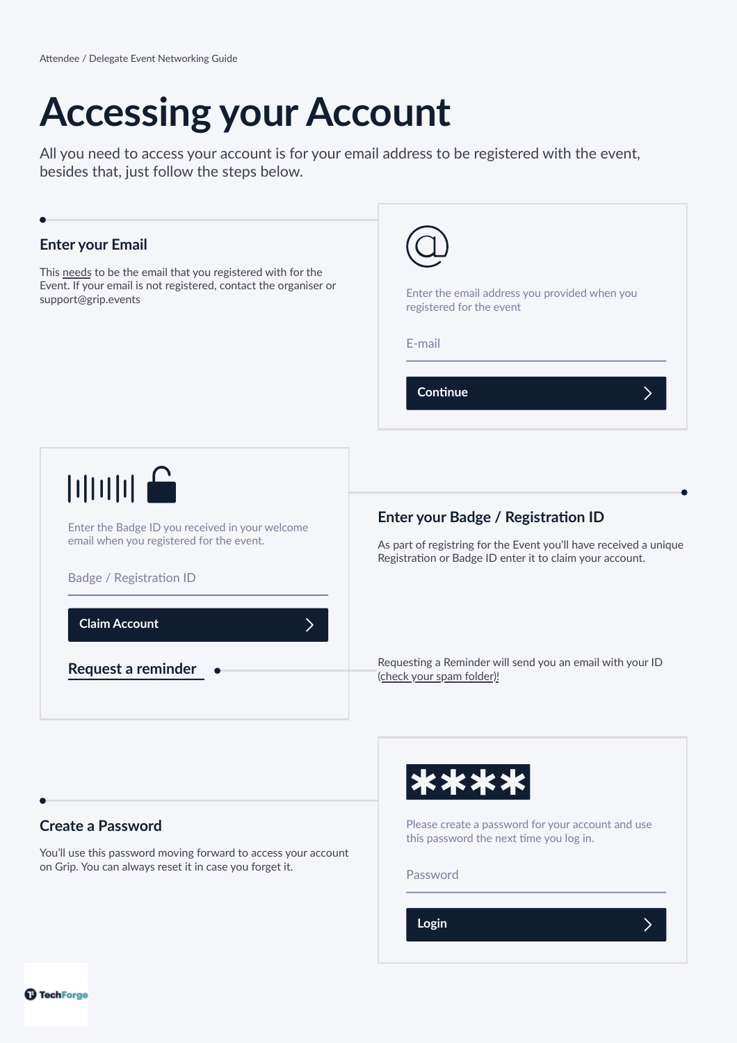# **Accessing your Account**

All you need to access your account is for your email address to be registered with the event, besides that, just follow the steps below.

| <b>Enter your Email</b>                                                                                                           | Enter the email address you provided when you                                                                                                                       |
|-----------------------------------------------------------------------------------------------------------------------------------|---------------------------------------------------------------------------------------------------------------------------------------------------------------------|
| This needs to be the email that you registered with for the                                                                       | registered for the event                                                                                                                                            |
| Event. If your email is not registered, contact the organiser or                                                                  | E-mail                                                                                                                                                              |
| support@grip.events                                                                                                               | Continue                                                                                                                                                            |
| <br>Enter the Badge ID you received in your welcome<br>email when you registered for the event.<br><b>Badge / Registration ID</b> | Enter your Badge / Registration ID<br>As part of registring for the Event you'll have received a unique<br>Registration or Badge ID enter it to claim your account. |
| <b>Claim Account</b>                                                                                                              | Requesting a Reminder will send you an email with your ID                                                                                                           |
| Request a reminder                                                                                                                | (check your spam folder)!                                                                                                                                           |
|                                                                                                                                   |                                                                                                                                                                     |

### **Create a Password**

You'll use this password moving forward to access your account on Grip. You can always reset it in case you forget it.



Please create a password for your account and use this password the next time you log in.

 $\sum$ 

Password

**Login**